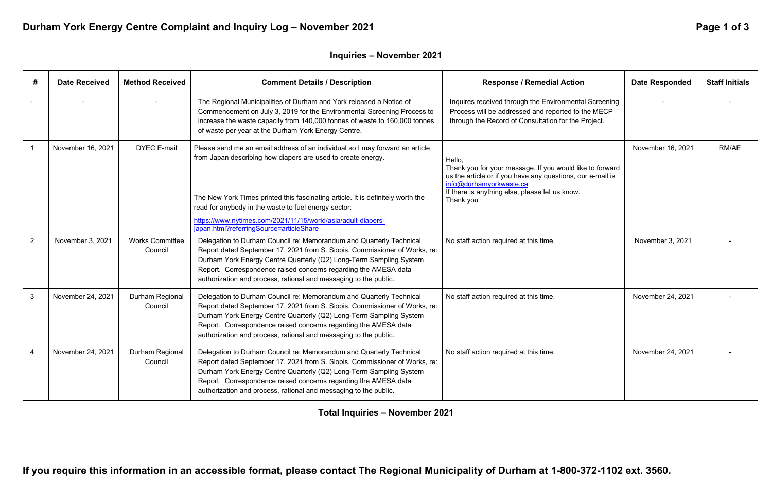**If you require this information in an accessible format, please contact The Regional Municipality of Durham at 1-800-372-1102 ext. 3560.** 

## Durham York Energy Centre Complaint and Inquiry Log - November 2021 **Page 1 of 3** Page 1 of 3

| #              | <b>Date Received</b> | <b>Method Received</b>            | <b>Comment Details / Description</b>                                                                                                                                                                                                                                                                                                                                                               | <b>Response / Remedial Action</b>                                                                                                                                                                                          | <b>Date Responded</b> | <b>Staff Initials</b> |
|----------------|----------------------|-----------------------------------|----------------------------------------------------------------------------------------------------------------------------------------------------------------------------------------------------------------------------------------------------------------------------------------------------------------------------------------------------------------------------------------------------|----------------------------------------------------------------------------------------------------------------------------------------------------------------------------------------------------------------------------|-----------------------|-----------------------|
|                |                      |                                   | The Regional Municipalities of Durham and York released a Notice of<br>Commencement on July 3, 2019 for the Environmental Screening Process to<br>increase the waste capacity from 140,000 tonnes of waste to 160,000 tonnes<br>of waste per year at the Durham York Energy Centre.                                                                                                                | Inquires received through the Environmental Screening<br>Process will be addressed and reported to the MECP<br>through the Record of Consultation for the Project.                                                         |                       |                       |
|                | November 16, 2021    | <b>DYEC E-mail</b>                | Please send me an email address of an individual so I may forward an article<br>from Japan describing how diapers are used to create energy.<br>The New York Times printed this fascinating article. It is definitely worth the<br>read for anybody in the waste to fuel energy sector:<br>https://www.nytimes.com/2021/11/15/world/asia/adult-diapers-<br>japan.html?referringSource=articleShare | Hello,<br>Thank you for your message. If you would like to forward<br>us the article or if you have any questions, our e-mail is<br>info@durhamyorkwaste.ca<br>If there is anything else, please let us know.<br>Thank you | November 16, 2021     | RM/AE                 |
| $\overline{2}$ | November 3, 2021     | <b>Works Committee</b><br>Council | Delegation to Durham Council re: Memorandum and Quarterly Technical<br>Report dated September 17, 2021 from S. Siopis, Commissioner of Works, re:<br>Durham York Energy Centre Quarterly (Q2) Long-Term Sampling System<br>Report. Correspondence raised concerns regarding the AMESA data<br>authorization and process, rational and messaging to the public.                                     | No staff action required at this time.                                                                                                                                                                                     | November 3, 2021      |                       |
| $\mathbf{3}$   | November 24, 2021    | Durham Regional<br>Council        | Delegation to Durham Council re: Memorandum and Quarterly Technical<br>Report dated September 17, 2021 from S. Siopis, Commissioner of Works, re:<br>Durham York Energy Centre Quarterly (Q2) Long-Term Sampling System<br>Report. Correspondence raised concerns regarding the AMESA data<br>authorization and process, rational and messaging to the public.                                     | No staff action required at this time.                                                                                                                                                                                     | November 24, 2021     |                       |
|                | November 24, 2021    | Durham Regional<br>Council        | Delegation to Durham Council re: Memorandum and Quarterly Technical<br>Report dated September 17, 2021 from S. Siopis, Commissioner of Works, re:<br>Durham York Energy Centre Quarterly (Q2) Long-Term Sampling System<br>Report. Correspondence raised concerns regarding the AMESA data<br>authorization and process, rational and messaging to the public.                                     | No staff action required at this time.                                                                                                                                                                                     | November 24, 2021     |                       |

**Total Inquiries – November 2021**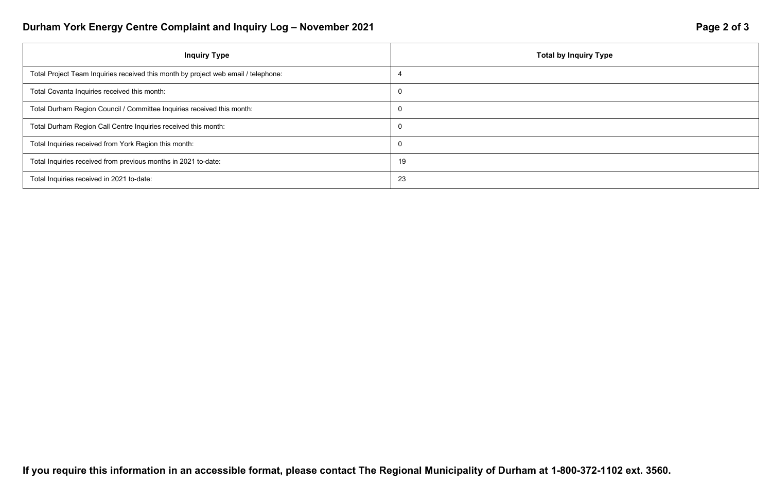# Durham York Energy Centre Complaint and Inquiry Log - November 2021 **Page 2 of 3** Page 2 of 3

| <b>Inquiry Type</b>                                                                | <b>Total by Inquiry Type</b> |
|------------------------------------------------------------------------------------|------------------------------|
| Total Project Team Inquiries received this month by project web email / telephone: |                              |
| Total Covanta Inquiries received this month:                                       | $\overline{0}$               |
| Total Durham Region Council / Committee Inquiries received this month:             | $\overline{0}$               |
| Total Durham Region Call Centre Inquiries received this month:                     | $\overline{0}$               |
| Total Inquiries received from York Region this month:                              | $\overline{0}$               |
| Total Inquiries received from previous months in 2021 to-date:                     | 19                           |
| Total Inquiries received in 2021 to-date:                                          | 23                           |